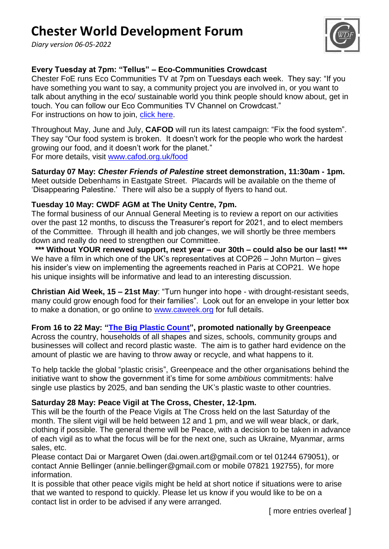# **Chester World Development Forum**

*Diary version 06-05-2022*



# **Every Tuesday at 7pm: "Tellus" – Eco-Communities Crowdcast**

Chester FoE runs Eco Communities TV at 7pm on Tuesdays each week. They say: "If you have something you want to say, a community project you are involved in, or you want to talk about anything in the eco/ sustainable world you think people should know about, get in touch. You can follow our Eco Communities TV Channel on Crowdcast." For instructions on how to join, [click here.](https://ecocommunitiesuk.com/eco-communities-tv/#content)

Throughout May, June and July, **CAFOD** will run its latest campaign: "Fix the food system". They say "Our food system is broken. It doesn't work for the people who work the hardest growing our food, and it doesn"t work for the planet." For more details, visit [www.cafod.org.uk/food](http://www.cafod.org.uk/food)

**Saturday 07 May:** *Chester Friends of Palestine* **street demonstration, 11:30am - 1pm.** Meet outside Debenhams in Eastgate Street. Placards will be available on the theme of "Disappearing Palestine." There will also be a supply of flyers to hand out.

#### **Tuesday 10 May: CWDF AGM at The Unity Centre, 7pm.**

The formal business of our Annual General Meeting is to review a report on our activities over the past 12 months, to discuss the Treasurer"s report for 2021, and to elect members of the Committee. Through ill health and job changes, we will shortly be three members down and really do need to strengthen our Committee.

**\*\*\* Without YOUR renewed support, next year – our 30th – could also be our last! \*\*\*** We have a film in which one of the UK's representatives at COP26 – John Murton – gives his insider's view on implementing the agreements reached in Paris at COP21. We hope his unique insights will be informative and lead to an interesting discussion.

**Christian Aid Week, 15 – 21st May**: "Turn hunger into hope - with drought-resistant seeds, many could grow enough food for their families". Look out for an envelope in your letter box to make a donation, or go online to [www.caweek.org](http://www.caweek.org/) for full details.

#### **From 16 to 22 May: ["The Big Plastic Count"](https://thebigplasticcount.com/), promoted nationally by Greenpeace**

Across the country, households of all shapes and sizes, schools, community groups and businesses will collect and record plastic waste. The aim is to gather hard evidence on the amount of plastic we are having to throw away or recycle, and what happens to it.

To help tackle the global "plastic crisis", Greenpeace and the other organisations behind the initiative want to show the government it's time for some *ambitious* commitments: halve single use plastics by 2025, and ban sending the UK"s plastic waste to other countries.

## **Saturday 28 May: Peace Vigil at The Cross, Chester, 12-1pm.**

This will be the fourth of the Peace Vigils at The Cross held on the last Saturday of the month. The silent vigil will be held between 12 and 1 pm, and we will wear black, or dark, clothing if possible. The general theme will be Peace, with a decision to be taken in advance of each vigil as to what the focus will be for the next one, such as Ukraine, Myanmar, arms sales, etc.

Please contact Dai or Margaret Owen (dai.owen.art@gmail.com or tel 01244 679051), or contact Annie Bellinger (annie.bellinger@gmail.com or mobile 07821 192755), for more information.

It is possible that other peace vigils might be held at short notice if situations were to arise that we wanted to respond to quickly. Please let us know if you would like to be on a contact list in order to be advised if any were arranged.

[ more entries overleaf ]